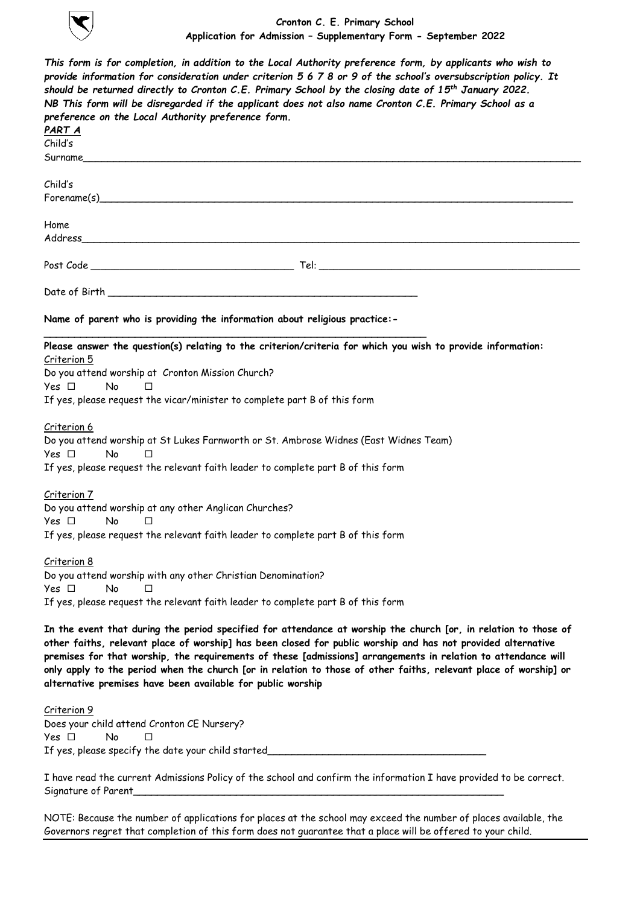

**Cronton C. E. Primary School Application for Admission – Supplementary Form - September 2022**

| preference on the Local Authority preference form.    | This form is for completion, in addition to the Local Authority preference form, by applicants who wish to<br>provide information for consideration under criterion 5 6 7 8 or 9 of the school's oversubscription policy. It<br>should be returned directly to Cronton C.E. Primary School by the closing date of $15^{th}$ January 2022.<br>NB This form will be disregarded if the applicant does not also name Cronton C.E. Primary School as a                                                                                  |
|-------------------------------------------------------|-------------------------------------------------------------------------------------------------------------------------------------------------------------------------------------------------------------------------------------------------------------------------------------------------------------------------------------------------------------------------------------------------------------------------------------------------------------------------------------------------------------------------------------|
| PART A                                                |                                                                                                                                                                                                                                                                                                                                                                                                                                                                                                                                     |
| Child's                                               |                                                                                                                                                                                                                                                                                                                                                                                                                                                                                                                                     |
|                                                       |                                                                                                                                                                                                                                                                                                                                                                                                                                                                                                                                     |
| Child's                                               |                                                                                                                                                                                                                                                                                                                                                                                                                                                                                                                                     |
|                                                       | $\mathsf{Forename}(s)$                                                                                                                                                                                                                                                                                                                                                                                                                                                                                                              |
|                                                       |                                                                                                                                                                                                                                                                                                                                                                                                                                                                                                                                     |
| Home                                                  |                                                                                                                                                                                                                                                                                                                                                                                                                                                                                                                                     |
|                                                       |                                                                                                                                                                                                                                                                                                                                                                                                                                                                                                                                     |
|                                                       |                                                                                                                                                                                                                                                                                                                                                                                                                                                                                                                                     |
|                                                       |                                                                                                                                                                                                                                                                                                                                                                                                                                                                                                                                     |
|                                                       |                                                                                                                                                                                                                                                                                                                                                                                                                                                                                                                                     |
|                                                       | Name of parent who is providing the information about religious practice:-                                                                                                                                                                                                                                                                                                                                                                                                                                                          |
|                                                       |                                                                                                                                                                                                                                                                                                                                                                                                                                                                                                                                     |
| Criterion 5                                           | Please answer the question(s) relating to the criterion/criteria for which you wish to provide information:                                                                                                                                                                                                                                                                                                                                                                                                                         |
| Do you attend worship at Cronton Mission Church?      |                                                                                                                                                                                                                                                                                                                                                                                                                                                                                                                                     |
| Yes □<br><b>No</b><br>П                               |                                                                                                                                                                                                                                                                                                                                                                                                                                                                                                                                     |
|                                                       | If yes, please request the vicar/minister to complete part B of this form                                                                                                                                                                                                                                                                                                                                                                                                                                                           |
|                                                       |                                                                                                                                                                                                                                                                                                                                                                                                                                                                                                                                     |
| Criterion 6                                           |                                                                                                                                                                                                                                                                                                                                                                                                                                                                                                                                     |
|                                                       | Do you attend worship at St Lukes Farnworth or St. Ambrose Widnes (East Widnes Team)                                                                                                                                                                                                                                                                                                                                                                                                                                                |
| Yes □<br><b>No</b><br>□                               |                                                                                                                                                                                                                                                                                                                                                                                                                                                                                                                                     |
|                                                       | If yes, please request the relevant faith leader to complete part B of this form                                                                                                                                                                                                                                                                                                                                                                                                                                                    |
|                                                       |                                                                                                                                                                                                                                                                                                                                                                                                                                                                                                                                     |
| <u>Criterion 7</u>                                    |                                                                                                                                                                                                                                                                                                                                                                                                                                                                                                                                     |
| Do you attend worship at any other Anglican Churches? |                                                                                                                                                                                                                                                                                                                                                                                                                                                                                                                                     |
| Yes □<br>No<br>П                                      |                                                                                                                                                                                                                                                                                                                                                                                                                                                                                                                                     |
|                                                       | If yes, please request the relevant faith leader to complete part B of this form                                                                                                                                                                                                                                                                                                                                                                                                                                                    |
| Criterion 8                                           |                                                                                                                                                                                                                                                                                                                                                                                                                                                                                                                                     |
|                                                       | Do you attend worship with any other Christian Denomination?                                                                                                                                                                                                                                                                                                                                                                                                                                                                        |
| Yes □<br>No<br>П                                      |                                                                                                                                                                                                                                                                                                                                                                                                                                                                                                                                     |
|                                                       | If yes, please request the relevant faith leader to complete part B of this form                                                                                                                                                                                                                                                                                                                                                                                                                                                    |
|                                                       |                                                                                                                                                                                                                                                                                                                                                                                                                                                                                                                                     |
|                                                       | In the event that during the period specified for attendance at worship the church [or, in relation to those of<br>other faiths, relevant place of worship] has been closed for public worship and has not provided alternative<br>premises for that worship, the requirements of these [admissions] arrangements in relation to attendance will<br>only apply to the period when the church [or in relation to those of other faiths, relevant place of worship] or<br>alternative premises have been available for public worship |
|                                                       |                                                                                                                                                                                                                                                                                                                                                                                                                                                                                                                                     |
| Criterion 9                                           |                                                                                                                                                                                                                                                                                                                                                                                                                                                                                                                                     |
| Does your child attend Cronton CE Nursery?            |                                                                                                                                                                                                                                                                                                                                                                                                                                                                                                                                     |
| Yes □<br>No<br>П                                      |                                                                                                                                                                                                                                                                                                                                                                                                                                                                                                                                     |
| If yes, please specify the date your child started    |                                                                                                                                                                                                                                                                                                                                                                                                                                                                                                                                     |

I have read the current Admissions Policy of the school and confirm the information I have provided to be correct. Signature of Parent\_\_\_\_\_\_\_\_\_\_\_\_\_\_\_\_\_\_\_\_\_\_\_\_\_\_\_\_\_\_\_\_\_\_\_\_\_\_\_\_\_\_\_\_\_\_\_\_\_\_\_\_\_\_\_\_\_\_\_\_\_

NOTE: Because the number of applications for places at the school may exceed the number of places available, the Governors regret that completion of this form does not guarantee that a place will be offered to your child.